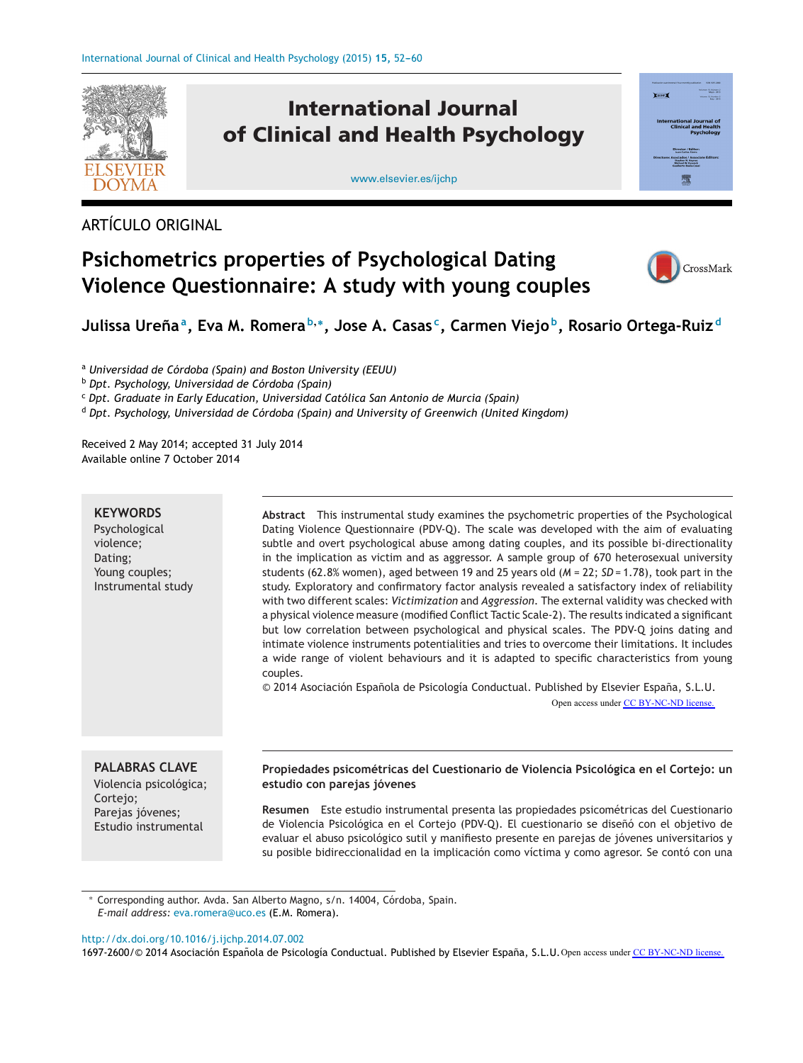

ARTÍCULO ORIGINAL

## **Psichometrics properties of Psychological Dating Violence Questionnaire: A study with young couples**



Julissa Ureña<sup>a</sup>, Eva M. Romera<sup>b,\*</sup>, Jose A. Casas<sup>c</sup>, Carmen Viejo<sup>b</sup>, Rosario Ortega-Ruiz<sup>d</sup>

<sup>a</sup> *Universidad de Córdoba (Spain) and Boston University (EEUU)*

<sup>b</sup> *Dpt. Psychology, Universidad de Córdoba (Spain)*

<sup>c</sup> *Dpt. Graduate in Early Education, Universidad Católica San Antonio de Murcia (Spain)*

<sup>d</sup> *Dpt. Psychology, Universidad de Córdoba (Spain) and University of Greenwich (United Kingdom)*

Received 2 May 2014; accepted 31 July 2014 Available online 7 October 2014

#### **KEYWORDS**

Psychological violence; Dating; Young couples; Instrumental study

**Abstract** This instrumental study examines the psychometric properties of the Psychological Dating Violence Questionnaire (PDV-Q). The scale was developed with the aim of evaluating subtle and overt psychological abuse among dating couples, and its possible bi-directionality in the implication as victim and as aggressor. A sample group of 670 heterosexual university students (62.8% women), aged between 19 and 25 years old (*M* = 22; *SD* = 1.78), took part in the study. Exploratory and confirmatory factor analysis revealed a satisfactory index of reliability with two different scales: *Victimization* and *Aggression*. The external validity was checked with a physical violence measure (modified Conflict Tactic Scale-2). The results indicated a significant but low correlation between psychological and physical scales. The PDV-Q joins dating and intimate violence instruments potentialities and tries to overcome their limitations. It includes a wide range of violent behaviours and it is adapted to specific characteristics from young couples.

© 2014 Asociación Española de Psicología Conductual. Published by Elsevier España, S.L.U.

Open access under [CC BY-NC-ND license.](http://creativecommons.org/licenses/by-nc-nd/4.0/)

## **PALABRAS CLAVE**

Violencia psicológica; Cortejo; Parejas jóvenes; Estudio instrumental

### **Propiedades psicométricas del Cuestionario de Violencia Psicológica en el Cortejo: un estudio con parejas jóvenes**

**Resumen** Este estudio instrumental presenta las propiedades psicométricas del Cuestionario de Violencia Psicológica en el Cortejo (PDV-Q). El cuestionario se diseñó con el objetivo de evaluar el abuso psicológico sutil y manifiesto presente en parejas de jóvenes universitarios y su posible bidireccionalidad en la implicación como víctima y como agresor. Se contó con una

∗ Corresponding author. Avda. San Alberto Magno, s/n. 14004, Córdoba, Spain. *E-mail address:* [eva.romera@uco.es](mailto:eva.romera@uco.es) (E.M. Romera).

[http://dx.doi.org/10.1016/j.ijchp.2014.07.002](dx.doi.org/10.1016/j.ijchp.2014.07.002)

1697-2600/© 2014 Asociación Española de Psicología Conductual. Published by Elsevier España, S.L.U. Open access under [CC BY-NC-ND license.](http://creativecommons.org/licenses/by-nc-nd/4.0/)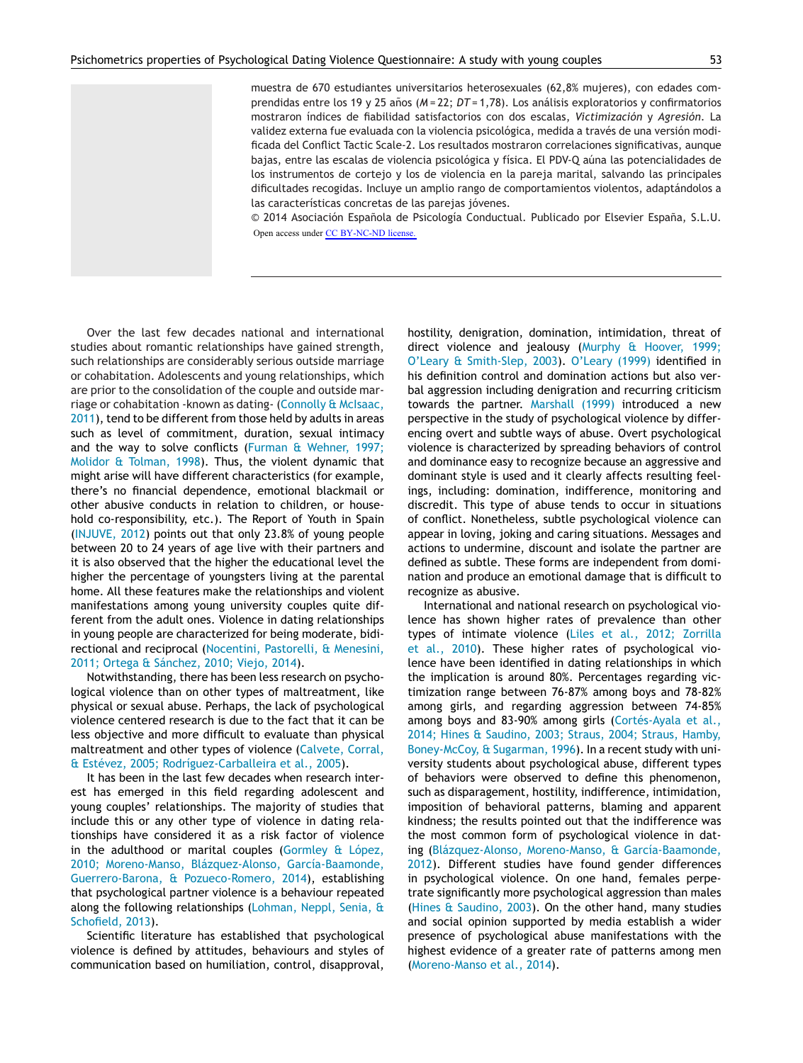muestra de 670 estudiantes universitarios heterosexuales (62,8% mujeres), con edades comprendidas entre los 19 y 25 años (*M* = 22; *DT* = 1,78). Los análisis exploratorios y confirmatorios mostraron índices de fiabilidad satisfactorios con dos escalas, *Victimización* y *Agresión*. La validez externa fue evaluada con la violencia psicológica, medida a través de una versión modificada del Conflict Tactic Scale-2. Los resultados mostraron correlaciones significativas, aunque bajas, entre las escalas de violencia psicológica y física. El PDV-Q aúna las potencialidades de los instrumentos de cortejo y los de violencia en la pareja marital, salvando las principales dificultades recogidas. Incluye un amplio rango de comportamientos violentos, adaptándolos a las características concretas de las parejas jóvenes.

© 2014 Asociación Española de Psicología Conductual. Publicado por Elsevier España, S.L.U. Open access under [CC BY-NC-ND license.](http://creativecommons.org/licenses/by-nc-nd/4.0/)

Over the last few decades national and international studies about romantic relationships have gained strength, such relationships are considerably serious outside marriage or cohabitation. Adolescents and young relationships, which are prior to the consolidation of the couple and outside marriage or cohabitation -known as dating- ([Connolly](#page--1-0) [&](#page--1-0) [McIsaac,](#page--1-0) [2011\),](#page--1-0) tend to be different from those held by adults in areas such as level of commitment, duration, sexual intimacy and the way to solve conflicts ([Furman](#page--1-0) [&](#page--1-0) [Wehner,](#page--1-0) [1997;](#page--1-0) [Molidor](#page--1-0) [&](#page--1-0) [Tolman,](#page--1-0) [1998\).](#page--1-0) Thus, the violent dynamic that might arise will have different characteristics (for example, there's no financial dependence, emotional blackmail or other abusive conducts in relation to children, or household co-responsibility, etc.). The Report of Youth in Spain ([INJUVE,](#page--1-0) [2012\)](#page--1-0) points out that only 23.8% of young people between 20 to 24 years of age live with their partners and it is also observed that the higher the educational level the higher the percentage of youngsters living at the parental home. All these features make the relationships and violent manifestations among young university couples quite different from the adult ones. Violence in dating relationships in young people are characterized for being moderate, bidirectional and reciprocal ([Nocentini,](#page--1-0) [Pastorelli,](#page--1-0) [&](#page--1-0) [Menesini,](#page--1-0) [2011;](#page--1-0) [Ortega](#page--1-0) [&](#page--1-0) [Sánchez,](#page--1-0) [2010;](#page--1-0) [Viejo,](#page--1-0) [2014\).](#page--1-0)

Notwithstanding, there has been less research on psychological violence than on other types of maltreatment, like physical or sexual abuse. Perhaps, the lack of psychological violence centered research is due to the fact that it can be less objective and more difficult to evaluate than physical maltreatment and other types of violence [\(Calvete,](#page--1-0) [Corral,](#page--1-0) [&](#page--1-0) [Estévez,](#page--1-0) [2005;](#page--1-0) [Rodríguez-Carballeira](#page--1-0) et [al.,](#page--1-0) [2005\).](#page--1-0)

It has been in the last few decades when research interest has emerged in this field regarding adolescent and young couples' relationships. The majority of studies that include this or any other type of violence in dating relationships have considered it as a risk factor of violence in the adulthood or marital couples ([Gormley](#page--1-0) [&](#page--1-0) [López,](#page--1-0) [2010;](#page--1-0) [Moreno-Manso,](#page--1-0) [Blázquez-Alonso,](#page--1-0) [García-Baamonde,](#page--1-0) [Guerrero-Barona,](#page--1-0) [&](#page--1-0) [Pozueco-Romero,](#page--1-0) [2014\),](#page--1-0) establishing that psychological partner violence is a behaviour repeated along the following relationships ([Lohman,](#page--1-0) [Neppl,](#page--1-0) [Senia,](#page--1-0) [&](#page--1-0) [Schofield,](#page--1-0) [2013\).](#page--1-0)

Scientific literature has established that psychological violence is defined by attitudes, behaviours and styles of communication based on humiliation, control, disapproval, hostility, denigration, domination, intimidation, threat of direct violence and jealousy ([Murphy](#page--1-0) [&](#page--1-0) [Hoover,](#page--1-0) [1999;](#page--1-0) [O'Leary](#page--1-0) [&](#page--1-0) [Smith-Slep,](#page--1-0) [2003\).](#page--1-0) [O'Leary](#page--1-0) [\(1999\)](#page--1-0) identified in his definition control and domination actions but also verbal aggression including denigration and recurring criticism towards the partner. [Marshall](#page--1-0) [\(1999\)](#page--1-0) introduced a new perspective in the study of psychological violence by differencing overt and subtle ways of abuse. Overt psychological violence is characterized by spreading behaviors of control and dominance easy to recognize because an aggressive and dominant style is used and it clearly affects resulting feelings, including: domination, indifference, monitoring and discredit. This type of abuse tends to occur in situations of conflict. Nonetheless, subtle psychological violence can appear in loving, joking and caring situations. Messages and actions to undermine, discount and isolate the partner are defined as subtle. These forms are independent from domination and produce an emotional damage that is difficult to recognize as abusive.

International and national research on psychological violence has shown higher rates of prevalence than other types of intimate violence [\(Liles](#page--1-0) et [al.,](#page--1-0) [2012;](#page--1-0) [Zorrilla](#page--1-0) et [al.,](#page--1-0) [2010\).](#page--1-0) These higher rates of psychological violence have been identified in dating relationships in which the implication is around 80%. Percentages regarding victimization range between 76-87% among boys and 78-82% among girls, and regarding aggression between 74-85% among boys and 83-90% among girls [\(Cortés-Ayala](#page--1-0) et [al.,](#page--1-0) [2014;](#page--1-0) [Hines](#page--1-0) [&](#page--1-0) [Saudino,](#page--1-0) [2003;](#page--1-0) [Straus,](#page--1-0) [2004;](#page--1-0) [Straus,](#page--1-0) [Hamby,](#page--1-0) [Boney-McCoy,](#page--1-0) [&](#page--1-0) [Sugarman,](#page--1-0) [1996\).](#page--1-0) In a recent study with university students about psychological abuse, different types of behaviors were observed to define this phenomenon, such as disparagement, hostility, indifference, intimidation, imposition of behavioral patterns, blaming and apparent kindness; the results pointed out that the indifference was the most common form of psychological violence in dating [\(Blázquez-Alonso,](#page--1-0) [Moreno-Manso,](#page--1-0) [&](#page--1-0) [García-Baamonde,](#page--1-0) [2012\).](#page--1-0) Different studies have found gender differences in psychological violence. On one hand, females perpetrate significantly more psychological aggression than males ([Hines](#page--1-0) [&](#page--1-0) [Saudino,](#page--1-0) [2003\).](#page--1-0) On the other hand, many studies and social opinion supported by media establish a wider presence of psychological abuse manifestations with the highest evidence of a greater rate of patterns among men ([Moreno-Manso](#page--1-0) et [al.,](#page--1-0) [2014\).](#page--1-0)